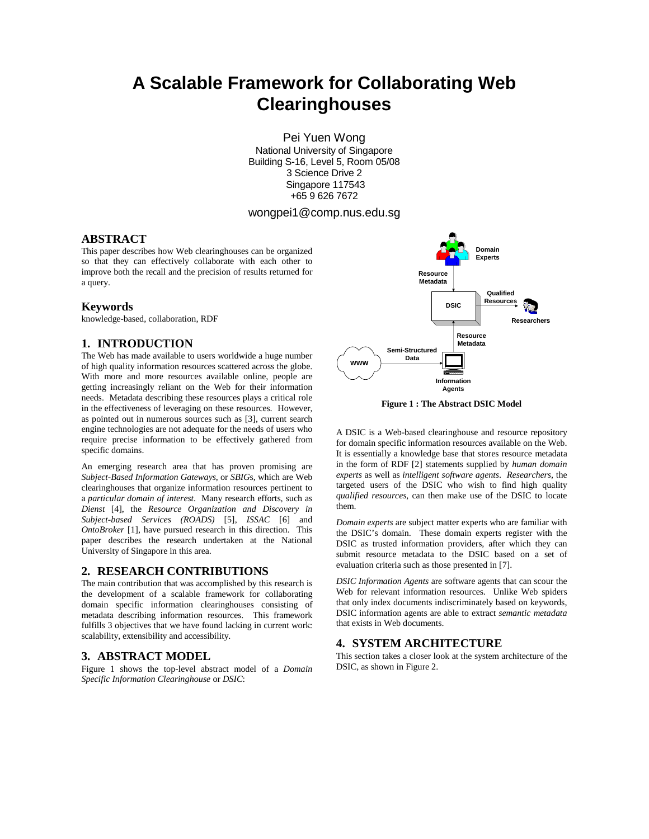# **A Scalable Framework for Collaborating Web Clearinghouses**

Pei Yuen Wong National University of Singapore Building S-16, Level 5, Room 05/08 3 Science Drive 2 Singapore 117543 +65 9 626 7672

# wongpei1@comp.nus.edu.sg

# **ABSTRACT**

This paper describes how Web clearinghouses can be organized so that they can effectively collaborate with each other to improve both the recall and the precision of results returned for a query.

## **Keywords**

knowledge-based, collaboration, RDF

# **1. INTRODUCTION**

The Web has made available to users worldwide a huge number of high quality information resources scattered across the globe. With more and more resources available online, people are getting increasingly reliant on the Web for their information needs. Metadata describing these resources plays a critical role in the effectiveness of leveraging on these resources. However, as pointed out in numerous sources such as [3], current search engine technologies are not adequate for the needs of users who require precise information to be effectively gathered from specific domains.

An emerging research area that has proven promising are *Subject-Based Information Gateways*, or *SBIG*s, which are Web clearinghouses that organize information resources pertinent to a *particular domain of interest*. Many research efforts, such as *Dienst* [4], the *Resource Organization and Discovery in Subject-based Services (ROADS)* [5], *ISSAC* [6] and *OntoBroker* [1], have pursued research in this direction. This paper describes the research undertaken at the National University of Singapore in this area.

## **2. RESEARCH CONTRIBUTIONS**

The main contribution that was accomplished by this research is the development of a scalable framework for collaborating domain specific information clearinghouses consisting of metadata describing information resources. This framework fulfills 3 objectives that we have found lacking in current work: scalability, extensibility and accessibility.

## **3. ABSTRACT MODEL**

Figure 1 shows the top-level abstract model of a *Domain Specific Information Clearinghouse* or *DSIC*:



**Figure 1 : The Abstract DSIC Model** 

A DSIC is a Web-based clearinghouse and resource repository for domain specific information resources available on the Web. It is essentially a knowledge base that stores resource metadata in the form of RDF [2] statements supplied by *human domain experts* as well as *intelligent software agents*. *Researchers*, the targeted users of the DSIC who wish to find high quality *qualified resources*, can then make use of the DSIC to locate them.

*Domain experts* are subject matter experts who are familiar with the DSIC's domain. These domain experts register with the DSIC as trusted information providers, after which they can submit resource metadata to the DSIC based on a set of evaluation criteria such as those presented in [7].

*DSIC Information Agents* are software agents that can scour the Web for relevant information resources. Unlike Web spiders that only index documents indiscriminately based on keywords, DSIC information agents are able to extract *semantic metadata* that exists in Web documents.

# **4. SYSTEM ARCHITECTURE**

This section takes a closer look at the system architecture of the DSIC, as shown in Figure 2.